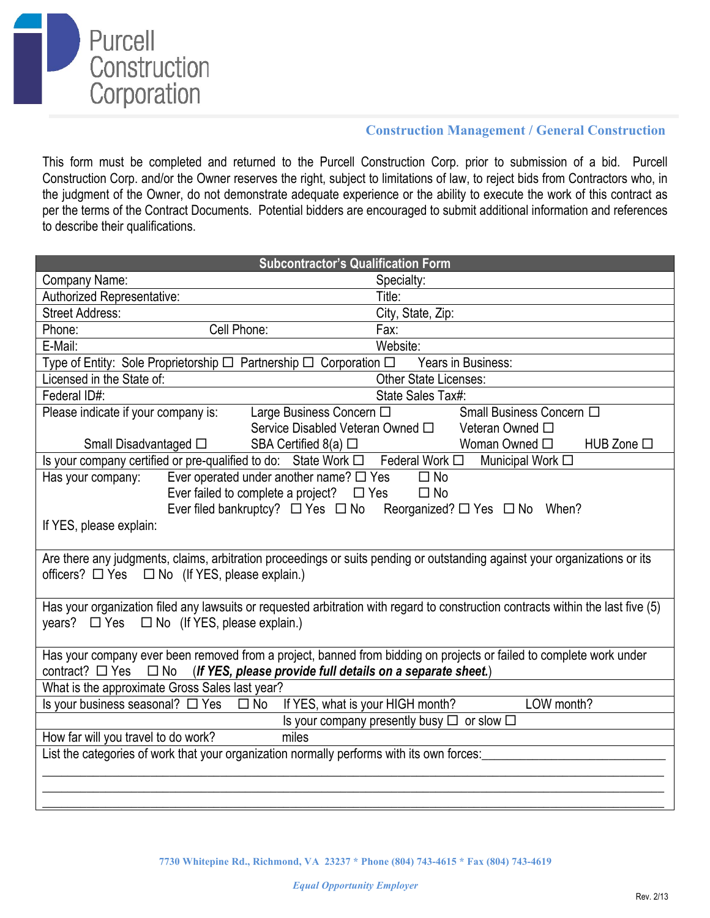

## **Construction Management / General Construction**

This form must be completed and returned to the Purcell Construction Corp. prior to submission of a bid. Purcell Construction Corp. and/or the Owner reserves the right, subject to limitations of law, to reject bids from Contractors who, in the judgment of the Owner, do not demonstrate adequate experience or the ability to execute the work of this contract as per the terms of the Contract Documents. Potential bidders are encouraged to submit additional information and references to describe their qualifications.

| <b>Subcontractor's Qualification Form</b>                                                                                        |  |  |  |  |
|----------------------------------------------------------------------------------------------------------------------------------|--|--|--|--|
| Company Name:<br>Specialty:                                                                                                      |  |  |  |  |
| Authorized Representative:<br>Title:                                                                                             |  |  |  |  |
| <b>Street Address:</b><br>City, State, Zip:                                                                                      |  |  |  |  |
| Cell Phone:<br>Phone:<br>Fax:                                                                                                    |  |  |  |  |
| Website:<br>E-Mail:                                                                                                              |  |  |  |  |
| Type of Entity: Sole Proprietorship $\Box$ Partnership $\Box$ Corporation $\Box$<br>Years in Business:                           |  |  |  |  |
| Other State Licenses:<br>Licensed in the State of:                                                                               |  |  |  |  |
| Federal ID#:<br>State Sales Tax#:                                                                                                |  |  |  |  |
| Please indicate if your company is:<br>Large Business Concern □<br>Small Business Concern □                                      |  |  |  |  |
| Service Disabled Veteran Owned $\square$<br>Veteran Owned □                                                                      |  |  |  |  |
| Woman Owned $\square$<br>Small Disadvantaged □<br>SBA Certified $8(a)$ $\square$<br>HUB Zone $\square$                           |  |  |  |  |
| Is your company certified or pre-qualified to do: State Work □ Federal Work □<br>Municipal Work □                                |  |  |  |  |
| Ever operated under another name? $\Box$ Yes<br>Has your company:<br>$\Box$ No                                                   |  |  |  |  |
| Ever failed to complete a project? $\Box$ Yes<br>$\square$ No                                                                    |  |  |  |  |
| Ever filed bankruptcy? $\Box$ Yes $\Box$ No Reorganized? $\Box$ Yes $\Box$ No When?                                              |  |  |  |  |
| If YES, please explain:                                                                                                          |  |  |  |  |
|                                                                                                                                  |  |  |  |  |
| Are there any judgments, claims, arbitration proceedings or suits pending or outstanding against your organizations or its       |  |  |  |  |
| officers? $\Box$ Yes $\Box$ No (If YES, please explain.)                                                                         |  |  |  |  |
|                                                                                                                                  |  |  |  |  |
| Has your organization filed any lawsuits or requested arbitration with regard to construction contracts within the last five (5) |  |  |  |  |
| years? $\Box$ Yes $\Box$ No (If YES, please explain.)                                                                            |  |  |  |  |
| Has your company ever been removed from a project, banned from bidding on projects or failed to complete work under              |  |  |  |  |
| contract? $\Box$ Yes<br>$\square$ No<br>(If YES, please provide full details on a separate sheet.)                               |  |  |  |  |
| What is the approximate Gross Sales last year?                                                                                   |  |  |  |  |
| LOW month?<br>Is your business seasonal? $\Box$ Yes $\Box$ No<br>If YES, what is your HIGH month?                                |  |  |  |  |
| Is your company presently busy $\Box$ or slow $\Box$                                                                             |  |  |  |  |
| miles<br>How far will you travel to do work?                                                                                     |  |  |  |  |
| List the categories of work that your organization normally performs with its own forces:                                        |  |  |  |  |
|                                                                                                                                  |  |  |  |  |
|                                                                                                                                  |  |  |  |  |
|                                                                                                                                  |  |  |  |  |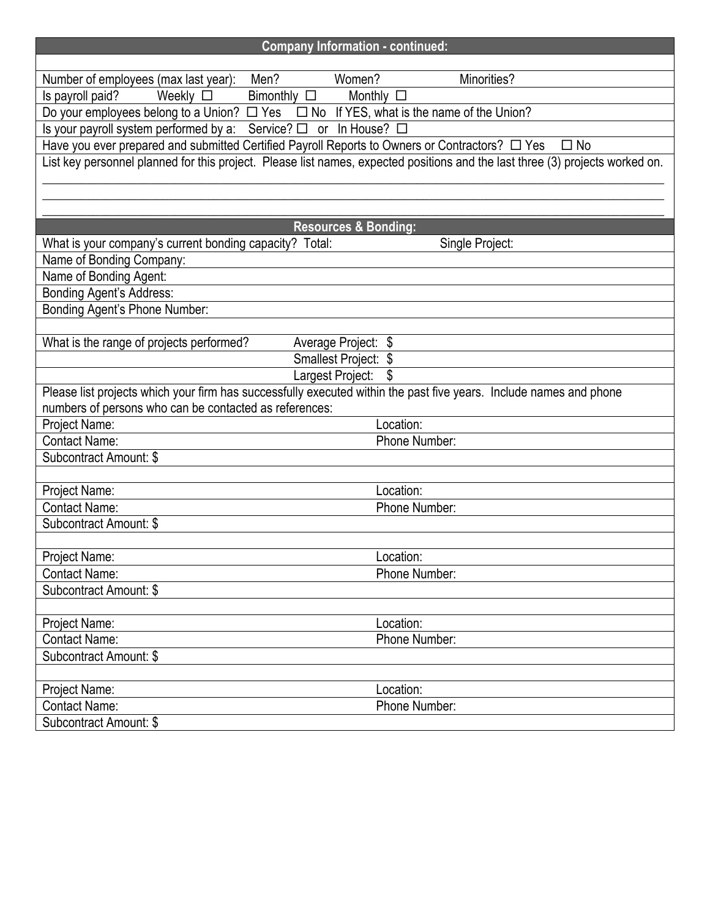| <b>Company Information - continued:</b>                                                                                       |                 |
|-------------------------------------------------------------------------------------------------------------------------------|-----------------|
|                                                                                                                               |                 |
| Number of employees (max last year): Men?<br>Women?                                                                           | Minorities?     |
| $Bimonthly$ $\square$<br>Weekly $\square$<br>Is payroll paid?<br>Monthly $\square$                                            |                 |
| Do your employees belong to a Union? $\Box$ Yes $\Box$ No If YES, what is the name of the Union?                              |                 |
| Is your payroll system performed by a: Service? $\Box$ or In House? $\Box$                                                    |                 |
| Have you ever prepared and submitted Certified Payroll Reports to Owners or Contractors? $\Box$ Yes                           | $\square$ No    |
| List key personnel planned for this project. Please list names, expected positions and the last three (3) projects worked on. |                 |
|                                                                                                                               |                 |
|                                                                                                                               |                 |
| <b>Resources &amp; Bonding:</b>                                                                                               |                 |
| What is your company's current bonding capacity? Total:                                                                       | Single Project: |
| Name of Bonding Company:                                                                                                      |                 |
| Name of Bonding Agent:                                                                                                        |                 |
| <b>Bonding Agent's Address:</b>                                                                                               |                 |
| Bonding Agent's Phone Number:                                                                                                 |                 |
|                                                                                                                               |                 |
| What is the range of projects performed?<br>Average Project: \$                                                               |                 |
| Smallest Project: \$                                                                                                          |                 |
| Largest Project:                                                                                                              |                 |
| Please list projects which your firm has successfully executed within the past five years. Include names and phone            |                 |
| numbers of persons who can be contacted as references:                                                                        |                 |
| Project Name:                                                                                                                 | Location:       |
| <b>Contact Name:</b>                                                                                                          | Phone Number:   |
| Subcontract Amount: \$                                                                                                        |                 |
|                                                                                                                               |                 |
| Project Name:                                                                                                                 | Location:       |
| <b>Contact Name:</b>                                                                                                          | Phone Number:   |
| Subcontract Amount: \$                                                                                                        |                 |
| Project Name:                                                                                                                 | Location:       |
| <b>Contact Name:</b>                                                                                                          | Phone Number:   |
| Subcontract Amount: \$                                                                                                        |                 |
|                                                                                                                               |                 |
| Project Name:                                                                                                                 | Location:       |
| <b>Contact Name:</b>                                                                                                          | Phone Number:   |
| Subcontract Amount: \$                                                                                                        |                 |
|                                                                                                                               |                 |
| Project Name:                                                                                                                 | Location:       |
| <b>Contact Name:</b>                                                                                                          | Phone Number:   |
| Subcontract Amount: \$                                                                                                        |                 |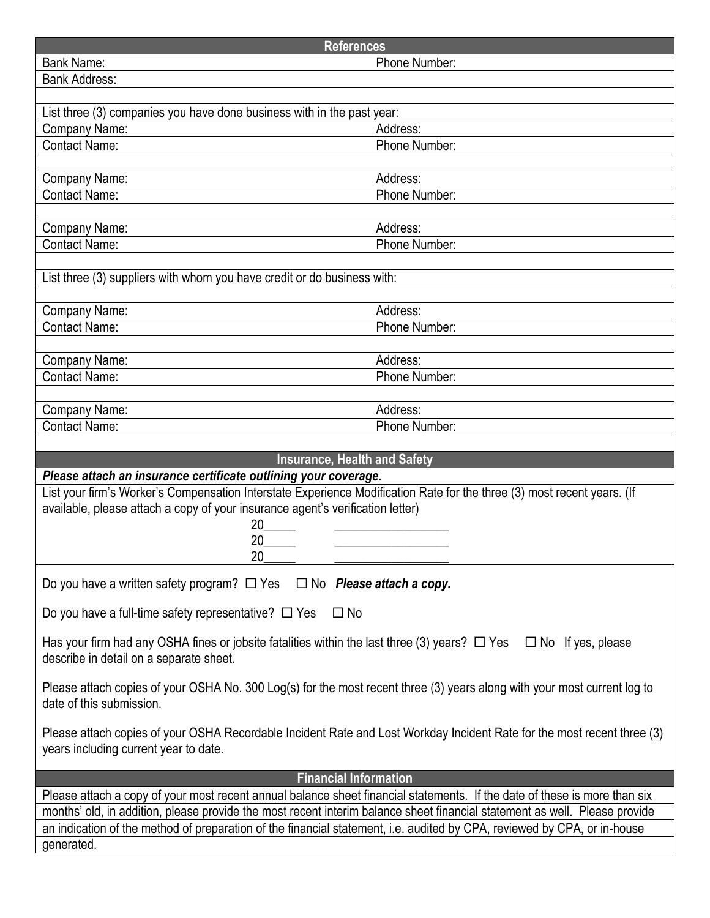| <b>References</b>                                                                                                                                                      |                                                                                                                          |  |  |  |
|------------------------------------------------------------------------------------------------------------------------------------------------------------------------|--------------------------------------------------------------------------------------------------------------------------|--|--|--|
| <b>Bank Name:</b>                                                                                                                                                      | Phone Number:                                                                                                            |  |  |  |
| <b>Bank Address:</b>                                                                                                                                                   |                                                                                                                          |  |  |  |
|                                                                                                                                                                        |                                                                                                                          |  |  |  |
| List three (3) companies you have done business with in the past year:                                                                                                 |                                                                                                                          |  |  |  |
| Company Name:                                                                                                                                                          | Address:                                                                                                                 |  |  |  |
| <b>Contact Name:</b>                                                                                                                                                   | Phone Number:                                                                                                            |  |  |  |
|                                                                                                                                                                        |                                                                                                                          |  |  |  |
| Company Name:                                                                                                                                                          | Address:                                                                                                                 |  |  |  |
| <b>Contact Name:</b>                                                                                                                                                   | Phone Number:                                                                                                            |  |  |  |
|                                                                                                                                                                        |                                                                                                                          |  |  |  |
| Company Name:                                                                                                                                                          | Address:                                                                                                                 |  |  |  |
| <b>Contact Name:</b>                                                                                                                                                   | Phone Number:                                                                                                            |  |  |  |
|                                                                                                                                                                        |                                                                                                                          |  |  |  |
| List three (3) suppliers with whom you have credit or do business with:                                                                                                |                                                                                                                          |  |  |  |
|                                                                                                                                                                        |                                                                                                                          |  |  |  |
| Company Name:                                                                                                                                                          | Address:                                                                                                                 |  |  |  |
| <b>Contact Name:</b>                                                                                                                                                   | Phone Number:                                                                                                            |  |  |  |
|                                                                                                                                                                        |                                                                                                                          |  |  |  |
| Company Name:                                                                                                                                                          | Address:                                                                                                                 |  |  |  |
| <b>Contact Name:</b>                                                                                                                                                   | Phone Number:                                                                                                            |  |  |  |
|                                                                                                                                                                        |                                                                                                                          |  |  |  |
| Company Name:                                                                                                                                                          | Address:                                                                                                                 |  |  |  |
| <b>Contact Name:</b>                                                                                                                                                   | Phone Number:                                                                                                            |  |  |  |
|                                                                                                                                                                        |                                                                                                                          |  |  |  |
| <b>Insurance, Health and Safety</b>                                                                                                                                    |                                                                                                                          |  |  |  |
| Please attach an insurance certificate outlining your coverage.                                                                                                        |                                                                                                                          |  |  |  |
| List your firm's Worker's Compensation Interstate Experience Modification Rate for the three (3) most recent years. (If                                                |                                                                                                                          |  |  |  |
| available, please attach a copy of your insurance agent's verification letter)                                                                                         |                                                                                                                          |  |  |  |
| 20                                                                                                                                                                     |                                                                                                                          |  |  |  |
| 20                                                                                                                                                                     |                                                                                                                          |  |  |  |
| 20                                                                                                                                                                     |                                                                                                                          |  |  |  |
| Do you have a written safety program? $\Box$ Yes $\Box$ No <b>Please attach a copy.</b>                                                                                |                                                                                                                          |  |  |  |
| Do you have a full-time safety representative? $\Box$ Yes<br>$\Box$ No                                                                                                 |                                                                                                                          |  |  |  |
| Has your firm had any OSHA fines or jobsite fatalities within the last three (3) years? $\Box$ Yes $\Box$ No If yes, please<br>describe in detail on a separate sheet. |                                                                                                                          |  |  |  |
| Please attach copies of your OSHA No. 300 Log(s) for the most recent three (3) years along with your most current log to<br>date of this submission.                   |                                                                                                                          |  |  |  |
| Please attach copies of your OSHA Recordable Incident Rate and Lost Workday Incident Rate for the most recent three (3)<br>years including current year to date.       |                                                                                                                          |  |  |  |
| <b>Financial Information</b>                                                                                                                                           |                                                                                                                          |  |  |  |
| Please attach a copy of your most recent annual balance sheet financial statements. If the date of these is more than six                                              |                                                                                                                          |  |  |  |
| months' old, in addition, please provide the most recent interim balance sheet financial statement as well. Please provide                                             |                                                                                                                          |  |  |  |
|                                                                                                                                                                        |                                                                                                                          |  |  |  |
|                                                                                                                                                                        | an indication of the method of preparation of the financial statement, i.e. audited by CPA, reviewed by CPA, or in-house |  |  |  |